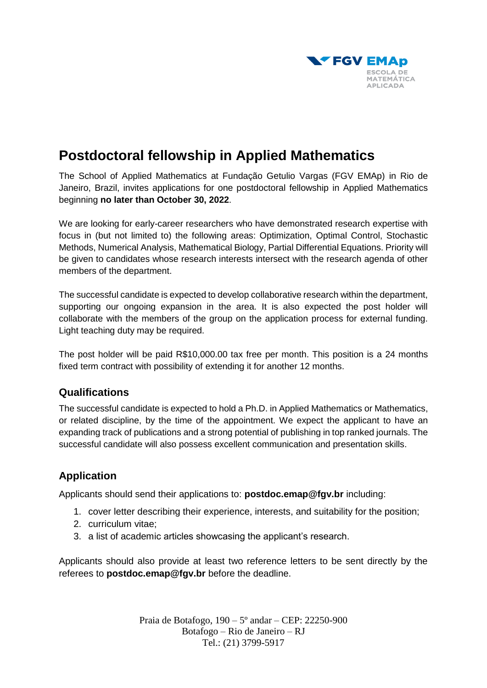

## **Postdoctoral fellowship in Applied Mathematics**

The School of Applied Mathematics at Fundação Getulio Vargas (FGV EMAp) in Rio de Janeiro, Brazil, invites applications for one postdoctoral fellowship in Applied Mathematics beginning **no later than October 30, 2022**.

We are looking for early-career researchers who have demonstrated research expertise with focus in (but not limited to) the following areas: Optimization, Optimal Control, Stochastic Methods, Numerical Analysis, Mathematical Biology, Partial Differential Equations. Priority will be given to candidates whose research interests intersect with the research agenda of other members of the department.

The successful candidate is expected to develop collaborative research within the department, supporting our ongoing expansion in the area. It is also expected the post holder will collaborate with the members of the group on the application process for external funding. Light teaching duty may be required.

The post holder will be paid R\$10,000.00 tax free per month. This position is a 24 months fixed term contract with possibility of extending it for another 12 months.

## **Qualifications**

The successful candidate is expected to hold a Ph.D. in Applied Mathematics or Mathematics, or related discipline, by the time of the appointment. We expect the applicant to have an expanding track of publications and a strong potential of publishing in top ranked journals. The successful candidate will also possess excellent communication and presentation skills.

## **Application**

Applicants should send their applications to: **[postdoc.emap@fgv.br](mailto:postdoc.emap@fgv.br)** including:

- 1. cover letter describing their experience, interests, and suitability for the position;
- 2. curriculum vitae;
- 3. a list of academic articles showcasing the applicant's research.

Applicants should also provide at least two reference letters to be sent directly by the referees to **[postdoc.emap@fgv.br](mailto:postdoc.emap@fgv.br)** before the deadline.

> Praia de Botafogo, 190 – 5º andar – CEP: 22250-900 Botafogo – Rio de Janeiro – RJ Tel.: (21) 3799-5917